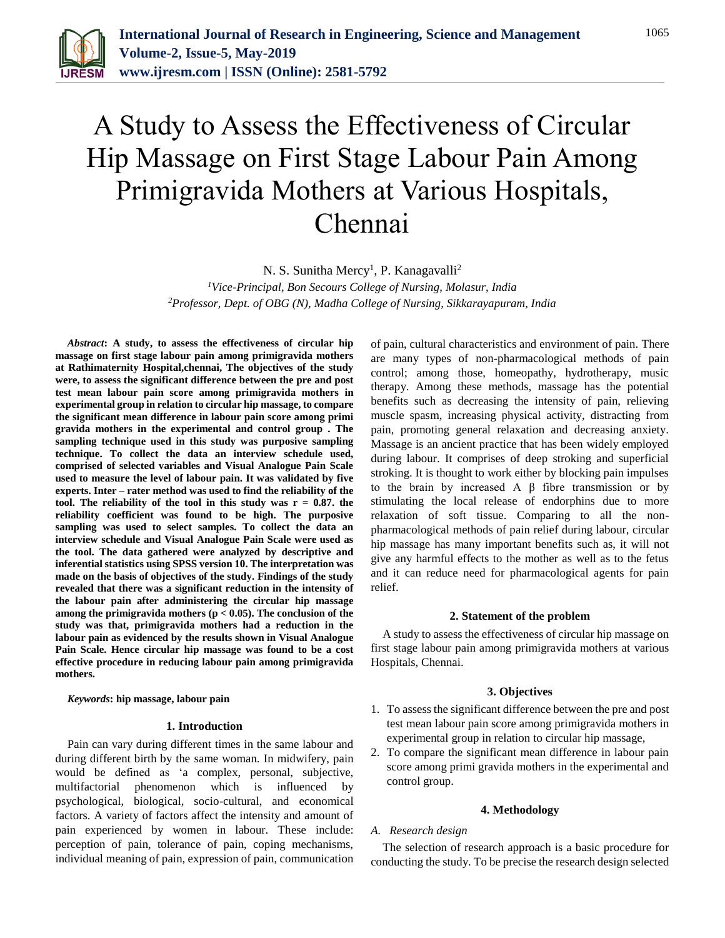

# A Study to Assess the Effectiveness of Circular Hip Massage on First Stage Labour Pain Among Primigravida Mothers at Various Hospitals, Chennai

N. S. Sunitha Mercy<sup>1</sup>, P. Kanagavalli<sup>2</sup>

*<sup>1</sup>Vice-Principal, Bon Secours College of Nursing, Molasur, India 2Professor, Dept. of OBG (N), Madha College of Nursing, Sikkarayapuram, India*

*Abstract***: A study, to assess the effectiveness of circular hip massage on first stage labour pain among primigravida mothers at Rathimaternity Hospital,chennai, The objectives of the study were, to assess the significant difference between the pre and post test mean labour pain score among primigravida mothers in experimental group in relation to circular hip massage, to compare the significant mean difference in labour pain score among primi gravida mothers in the experimental and control group . The sampling technique used in this study was purposive sampling technique. To collect the data an interview schedule used, comprised of selected variables and Visual Analogue Pain Scale used to measure the level of labour pain. It was validated by five experts. Inter – rater method was used to find the reliability of the tool. The reliability of the tool in this study was r = 0.87. the reliability coefficient was found to be high. The purposive sampling was used to select samples. To collect the data an interview schedule and Visual Analogue Pain Scale were used as the tool. The data gathered were analyzed by descriptive and inferential statistics using SPSS version 10. The interpretation was made on the basis of objectives of the study. Findings of the study revealed that there was a significant reduction in the intensity of the labour pain after administering the circular hip massage among the primigravida mothers (p < 0.05). The conclusion of the study was that, primigravida mothers had a reduction in the labour pain as evidenced by the results shown in Visual Analogue Pain Scale. Hence circular hip massage was found to be a cost effective procedure in reducing labour pain among primigravida mothers.**

*Keywords***: hip massage, labour pain**

#### **1. Introduction**

Pain can vary during different times in the same labour and during different birth by the same woman. In midwifery, pain would be defined as 'a complex, personal, subjective, multifactorial phenomenon which is influenced by psychological, biological, socio-cultural, and economical factors. A variety of factors affect the intensity and amount of pain experienced by women in labour. These include: perception of pain, tolerance of pain, coping mechanisms, individual meaning of pain, expression of pain, communication

of pain, cultural characteristics and environment of pain. There are many types of non-pharmacological methods of pain control; among those, homeopathy, hydrotherapy, music therapy. Among these methods, massage has the potential benefits such as decreasing the intensity of pain, relieving muscle spasm, increasing physical activity, distracting from pain, promoting general relaxation and decreasing anxiety. Massage is an ancient practice that has been widely employed during labour. It comprises of deep stroking and superficial stroking. It is thought to work either by blocking pain impulses to the brain by increased A β fibre transmission or by stimulating the local release of endorphins due to more relaxation of soft tissue. Comparing to all the nonpharmacological methods of pain relief during labour, circular hip massage has many important benefits such as, it will not give any harmful effects to the mother as well as to the fetus and it can reduce need for pharmacological agents for pain relief.

#### **2. Statement of the problem**

A study to assess the effectiveness of circular hip massage on first stage labour pain among primigravida mothers at various Hospitals, Chennai.

#### **3. Objectives**

- 1. To assess the significant difference between the pre and post test mean labour pain score among primigravida mothers in experimental group in relation to circular hip massage,
- 2. To compare the significant mean difference in labour pain score among primi gravida mothers in the experimental and control group.

#### **4. Methodology**

#### *A. Research design*

The selection of research approach is a basic procedure for conducting the study. To be precise the research design selected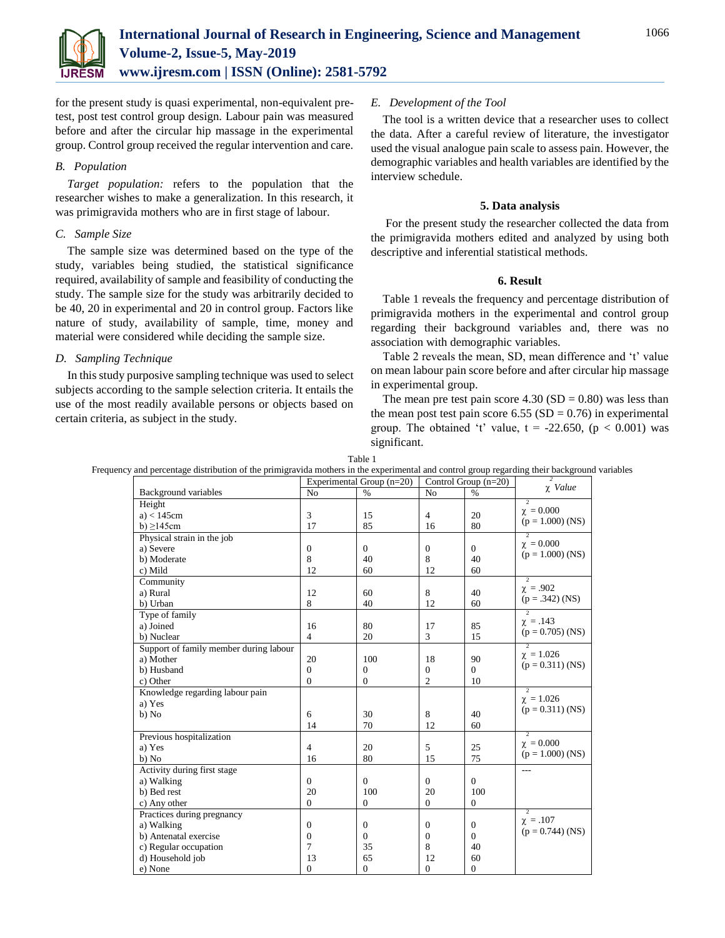for the present study is quasi experimental, non-equivalent pretest, post test control group design. Labour pain was measured before and after the circular hip massage in the experimental group. Control group received the regular intervention and care.

## *B. Population*

*Target population:* refers to the population that the researcher wishes to make a generalization. In this research, it was primigravida mothers who are in first stage of labour.

## *C. Sample Size*

The sample size was determined based on the type of the study, variables being studied, the statistical significance required, availability of sample and feasibility of conducting the study. The sample size for the study was arbitrarily decided to be 40, 20 in experimental and 20 in control group. Factors like nature of study, availability of sample, time, money and material were considered while deciding the sample size.

## *D. Sampling Technique*

In this study purposive sampling technique was used to select subjects according to the sample selection criteria. It entails the use of the most readily available persons or objects based on certain criteria, as subject in the study.

## *E. Development of the Tool*

The tool is a written device that a researcher uses to collect the data. After a careful review of literature, the investigator used the visual analogue pain scale to assess pain. However, the demographic variables and health variables are identified by the interview schedule.

## **5. Data analysis**

For the present study the researcher collected the data from the primigravida mothers edited and analyzed by using both descriptive and inferential statistical methods.

## **6. Result**

Table 1 reveals the frequency and percentage distribution of primigravida mothers in the experimental and control group regarding their background variables and, there was no association with demographic variables.

Table 2 reveals the mean, SD, mean difference and 't' value on mean labour pain score before and after circular hip massage in experimental group.

The mean pre test pain score  $4.30$  (SD = 0.80) was less than the mean post test pain score  $6.55$  (SD = 0.76) in experimental group. The obtained 't' value,  $t = -22.650$ ,  $(p < 0.001)$  was significant.

|  |  | Table |  |                                                                                                                                              |  |
|--|--|-------|--|----------------------------------------------------------------------------------------------------------------------------------------------|--|
|  |  |       |  | Frequency and percentage distribution of the primigravida mothers in the experimental and control group regarding their background variables |  |

|                                        | Experimental Group $(n=20)$ |              | Control Group $(n=20)$ |                | $\overline{\mathbf{z}}$                    |
|----------------------------------------|-----------------------------|--------------|------------------------|----------------|--------------------------------------------|
| Background variables                   | N <sub>o</sub>              | $\%$         | N <sub>o</sub>         | $\%$           | $\chi$ Value                               |
| Height                                 |                             |              |                        |                | $\overline{2}$                             |
| $a$ ) < 145 $cm$                       | 3                           | 15           | $\overline{4}$         | 20             | $\chi = 0.000$                             |
| b) $\geq$ 145cm                        | 17                          | 85           | 16                     | 80             | $(p = 1.000)$ (NS)                         |
| Physical strain in the job             |                             |              |                        |                | $\overline{\mathcal{L}}$                   |
| a) Severe                              | $\mathbf{0}$                | $\mathbf{0}$ | $\theta$               | $\Omega$       | $\chi = 0.000$                             |
| b) Moderate                            | 8                           | 40           | 8                      | 40             | $(p = 1.000)$ (NS)                         |
| c) Mild                                | 12                          | 60           | 12                     | 60             |                                            |
| Community                              |                             |              |                        |                | $\overline{2}$                             |
| a) Rural                               | 12                          | 60           | 8                      | 40             | $\chi = .902$<br>$(p = .342)$ (NS)         |
| b) Urban                               | 8                           | 40           | 12                     | 60             |                                            |
| Type of family                         |                             |              |                        |                | 7                                          |
| a) Joined                              | 16                          | 80           | 17                     | 85             | $\chi = .143$<br>$(p = 0.705)$ (NS)        |
| b) Nuclear                             | $\overline{4}$              | 20           | 3                      | 15             |                                            |
| Support of family member during labour |                             |              |                        |                | $\overline{2}$<br>$\chi = 1.026$           |
| a) Mother                              | 20                          | 100          | 18                     | 90             | $(p = 0.311)$ (NS)                         |
| b) Husband                             | $\Omega$                    | $\theta$     | $\Omega$               | $\Omega$       |                                            |
| c) Other                               | $\Omega$                    | $\mathbf{0}$ | $\overline{2}$         | 10             |                                            |
| Knowledge regarding labour pain        |                             |              |                        |                | $\overline{2}$<br>$\chi = 1.026$           |
| a) Yes                                 |                             |              |                        |                | $(p = 0.311)$ (NS)                         |
| b) No                                  | 6                           | 30           | 8                      | 40             |                                            |
|                                        | 14                          | 70           | 12                     | 60             |                                            |
| Previous hospitalization               |                             |              |                        |                | $\overline{\phantom{0}}$<br>$\chi = 0.000$ |
| a) Yes                                 | $\overline{4}$              | 20           | 5                      | 25             | $(p = 1.000)$ (NS)                         |
| b) No                                  | 16                          | 80           | 15                     | 75             |                                            |
| Activity during first stage            |                             |              |                        |                |                                            |
| a) Walking                             | $\overline{0}$              | $\Omega$     | $\Omega$               | $\Omega$       |                                            |
| b) Bed rest                            | 20                          | 100          | 20                     | 100            |                                            |
| c) Any other                           | $\theta$                    | $\mathbf{0}$ | $\Omega$               | $\overline{0}$ |                                            |
| Practices during pregnancy             |                             |              |                        |                | $\overline{2}$<br>$\chi = .107$            |
| a) Walking                             | $\overline{0}$              | $\mathbf{0}$ | $\Omega$               | $\Omega$       | $(p = 0.744)$ (NS)                         |
| b) Antenatal exercise                  | $\mathbf{0}$                | $\mathbf{0}$ | $\mathbf{0}$           | $\Omega$       |                                            |
| c) Regular occupation                  | 7                           | 35           | 8                      | 40             |                                            |
| d) Household job                       | 13                          | 65           | 12                     | 60             |                                            |
| e) None                                | $\overline{0}$              | $\mathbf{0}$ | $\overline{0}$         | $\mathbf{0}$   |                                            |